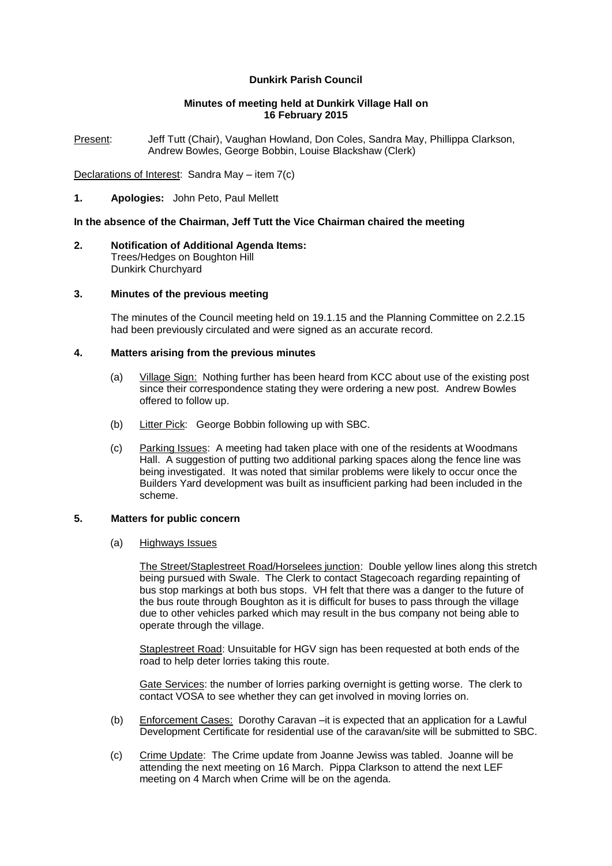# **Dunkirk Parish Council**

## **Minutes of meeting held at Dunkirk Village Hall on 16 February 2015**

Present: Jeff Tutt (Chair), Vaughan Howland, Don Coles, Sandra May, Phillippa Clarkson, Andrew Bowles, George Bobbin, Louise Blackshaw (Clerk)

Declarations of Interest: Sandra May – item 7(c)

**1. Apologies:** John Peto, Paul Mellett

# **In the absence of the Chairman, Jeff Tutt the Vice Chairman chaired the meeting**

**2. Notification of Additional Agenda Items:**  Trees/Hedges on Boughton Hill Dunkirk Churchyard

## **3. Minutes of the previous meeting**

The minutes of the Council meeting held on 19.1.15 and the Planning Committee on 2.2.15 had been previously circulated and were signed as an accurate record.

## **4. Matters arising from the previous minutes**

- (a) Village Sign: Nothing further has been heard from KCC about use of the existing post since their correspondence stating they were ordering a new post. Andrew Bowles offered to follow up.
- (b) Litter Pick: George Bobbin following up with SBC.
- (c) Parking Issues: A meeting had taken place with one of the residents at Woodmans Hall. A suggestion of putting two additional parking spaces along the fence line was being investigated. It was noted that similar problems were likely to occur once the Builders Yard development was built as insufficient parking had been included in the scheme.

# **5. Matters for public concern**

(a) Highways Issues

The Street/Staplestreet Road/Horselees junction: Double yellow lines along this stretch being pursued with Swale. The Clerk to contact Stagecoach regarding repainting of bus stop markings at both bus stops. VH felt that there was a danger to the future of the bus route through Boughton as it is difficult for buses to pass through the village due to other vehicles parked which may result in the bus company not being able to operate through the village.

Staplestreet Road: Unsuitable for HGV sign has been requested at both ends of the road to help deter lorries taking this route.

Gate Services: the number of lorries parking overnight is getting worse. The clerk to contact VOSA to see whether they can get involved in moving lorries on.

- (b) Enforcement Cases: Dorothy Caravan –it is expected that an application for a Lawful Development Certificate for residential use of the caravan/site will be submitted to SBC.
- (c) Crime Update: The Crime update from Joanne Jewiss was tabled. Joanne will be attending the next meeting on 16 March. Pippa Clarkson to attend the next LEF meeting on 4 March when Crime will be on the agenda.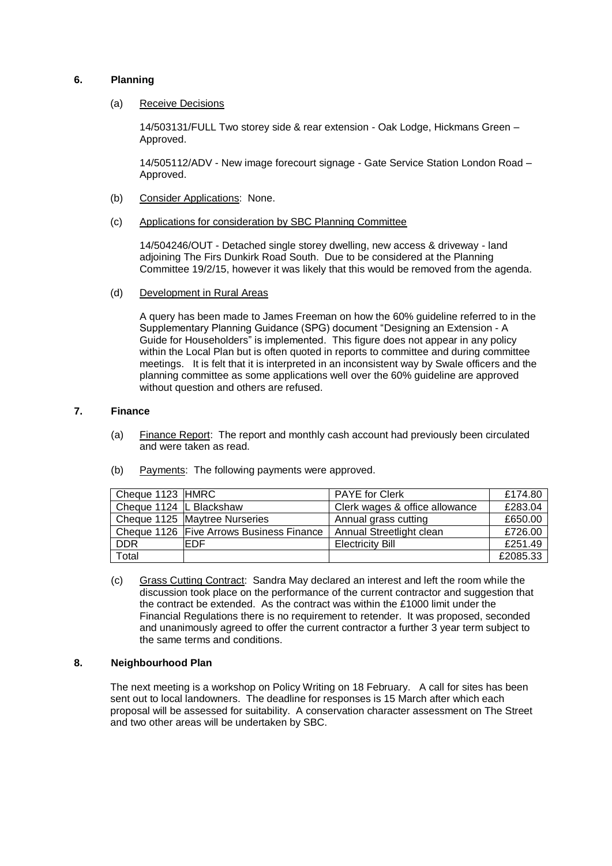# **6. Planning**

#### (a) Receive Decisions

14/503131/FULL Two storey side & rear extension - Oak Lodge, Hickmans Green – Approved.

14/505112/ADV - New image forecourt signage - Gate Service Station London Road – Approved.

- (b) Consider Applications: None.
- (c) Applications for consideration by SBC Planning Committee

14/504246/OUT - Detached single storey dwelling, new access & driveway - land adjoining The Firs Dunkirk Road South. Due to be considered at the Planning Committee 19/2/15, however it was likely that this would be removed from the agenda.

(d) Development in Rural Areas

A query has been made to James Freeman on how the 60% guideline referred to in the Supplementary Planning Guidance (SPG) document ["Designing an Extension -](http://www.swale.gov.uk/assets/Planning-Forms-and-Leaflets/Designing-an-Extension-feb-2011.pdf) A [Guide for Householders"](http://www.swale.gov.uk/assets/Planning-Forms-and-Leaflets/Designing-an-Extension-feb-2011.pdf) is implemented. This figure does not appear in any policy within the Local Plan but is often quoted in reports to committee and during committee meetings. It is felt that it is interpreted in an inconsistent way by Swale officers and the planning committee as some applications well over the 60% guideline are approved without question and others are refused.

## **7. Finance**

- (a) Finance Report: The report and monthly cash account had previously been circulated and were taken as read.
- (b) Payments: The following payments were approved.

| Cheque 1123 HMRC          |                                          | <b>PAYE</b> for Clerk          | £174.80  |
|---------------------------|------------------------------------------|--------------------------------|----------|
| Cheque 1124   L Blackshaw |                                          | Clerk wages & office allowance | £283.04  |
|                           | Cheque 1125 Maytree Nurseries            | Annual grass cutting           | £650.00  |
|                           | Cheque 1126 Five Arrows Business Finance | Annual Streetlight clean       | £726.00  |
| <b>DDR</b>                | EDF                                      | <b>Electricity Bill</b>        | £251.49  |
| Total                     |                                          |                                | £2085.33 |

(c) Grass Cutting Contract: Sandra May declared an interest and left the room while the discussion took place on the performance of the current contractor and suggestion that the contract be extended. As the contract was within the £1000 limit under the Financial Regulations there is no requirement to retender. It was proposed, seconded and unanimously agreed to offer the current contractor a further 3 year term subject to the same terms and conditions.

# **8. Neighbourhood Plan**

The next meeting is a workshop on Policy Writing on 18 February. A call for sites has been sent out to local landowners. The deadline for responses is 15 March after which each proposal will be assessed for suitability. A conservation character assessment on The Street and two other areas will be undertaken by SBC.